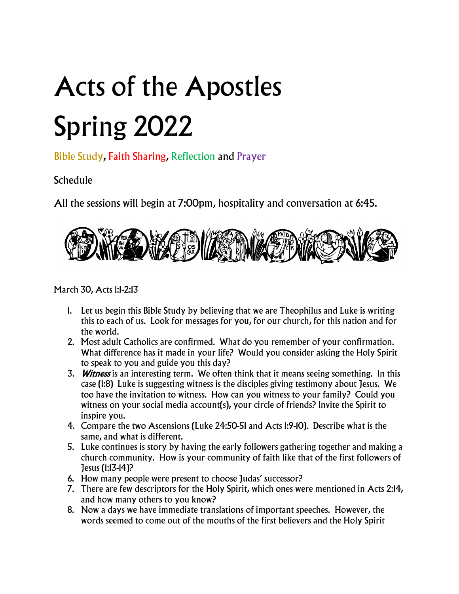## Acts of the Apostles Spring 2022

Bible Study, Faith Sharing, Reflection and Prayer

## **Schedule**

All the sessions will begin at 7:00pm, hospitality and conversation at 6:45.



March 30, Acts 1:1-2:13

- 1. Let us begin this Bible Study by believing that we are Theophilus and Luke is writing this to each of us. Look for messages for you, for our church, for this nation and for the world.
- 2. Most adult Catholics are confirmed. What do you remember of your confirmation. What difference has it made in your life? Would you consider asking the Holy Spirit to speak to you and guide you this day?
- 3. Witness is an interesting term. We often think that it means seeing something. In this case (1:8) Luke is suggesting witness is the disciples giving testimony about Jesus. We too have the invitation to witness. How can you witness to your family? Could you witness on your social media account(s), your circle of friends? Invite the Spirit to inspire you.
- 4. Compare the two Ascensions (Luke 24:50-51 and Acts 1:9-10). Describe what is the same, and what is different.
- 5. Luke continues is story by having the early followers gathering together and making a church community. How is your community of faith like that of the first followers of Jesus (1:13-14)?
- 6. How many people were present to choose Judas' successor?
- 7. There are few descriptors for the Holy Spirit, which ones were mentioned in Acts 2:14, and how many others to you know?
- 8. Now a days we have immediate translations of important speeches. However, the words seemed to come out of the mouths of the first believers and the Holy Spirit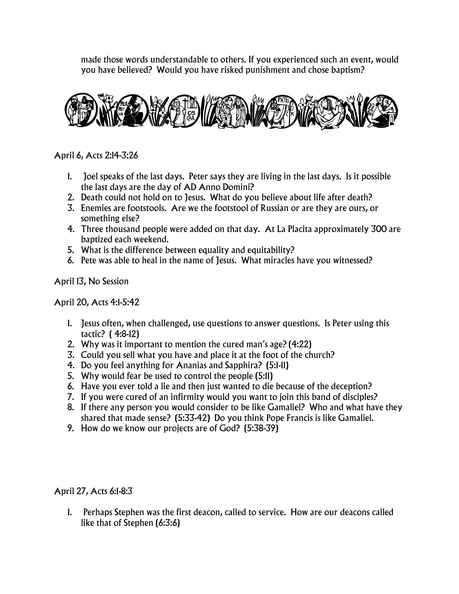made those words understandable to others. If you experienced such an event, would you have believed? Would you have risked punishment and chose baptism?



April 6, Acts 2:14-3:26

- 1. Joel speaks of the last days. Peter says they are living in the last days. Is it possible the last days are the day of AD Anno Domini?
- 2. Death could not hold on to Jesus. What do you believe about life after death?
- 3. Enemies are footstools. Are we the footstool of Russian or are they are ours, or something else?
- 4. Three thousand people were added on that day. At La Placita approximately 300 are baptized each weekend.
- 5. What is the difference between equality and equitability?
- 6. Pete was able to heal in the name of Jesus. What miracles have you witnessed?

April 13, No Session

April 20, Acts 4:1-5:42

- 1. Jesus often, when challenged, use questions to answer questions. Is Peter using this tactic? ( 4:8-12)
- 2. Why was it important to mention the cured man's age? (4:22)
- 3. Could you sell what you have and place it at the foot of the church?
- 4. Do you feel anything for Ananias and Sapphira? (5:1-11)
- 5. Why would fear be used to control the people (5:11)
- 6. Have you ever told a lie and then just wanted to die because of the deception?
- 7. If you were cured of an infirmity would you want to join this band of disciples?
- 8. If there any person you would consider to be like Gamaliel? Who and what have they shared that made sense? (5:33-42) Do you think Pope Francis is like Gamaliel.
- 9. How do we know our projects are of God? (5:38-39)

April 27, Acts 6:1-8:3

1. Perhaps Stephen was the first deacon, called to service. How are our deacons called like that of Stephen (6:3:6)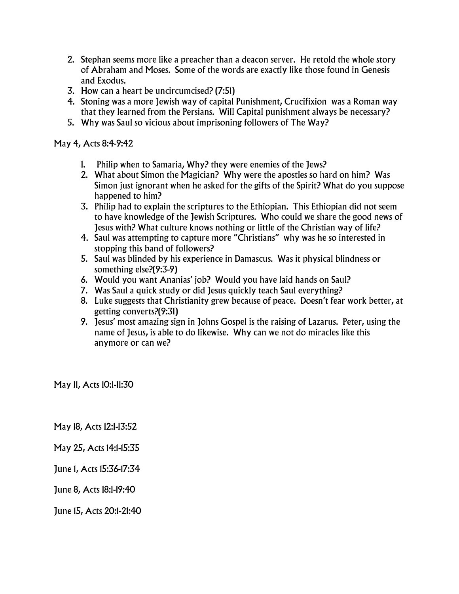- 2. Stephan seems more like a preacher than a deacon server. He retold the whole story of Abraham and Moses. Some of the words are exactly like those found in Genesis and Exodus.
- 3. How can a heart be uncircumcised? (7:51)
- 4. Stoning was a more Jewish way of capital Punishment, Crucifixion was a Roman way that they learned from the Persians. Will Capital punishment always be necessary?
- 5. Why was Saul so vicious about imprisoning followers of The Way?

May 4, Acts 8:4-9:42

- 1. Philip when to Samaria, Why? they were enemies of the Jews?
- 2. What about Simon the Magician? Why were the apostles so hard on him? Was Simon just ignorant when he asked for the gifts of the Spirit? What do you suppose happened to him?
- 3. Philip had to explain the scriptures to the Ethiopian. This Ethiopian did not seem to have knowledge of the Jewish Scriptures. Who could we share the good news of Jesus with? What culture knows nothing or little of the Christian way of life?
- 4. Saul was attempting to capture more "Christians" why was he so interested in stopping this band of followers?
- 5. Saul was blinded by his experience in Damascus. Was it physical blindness or something else?(9:3-9)
- 6. Would you want Ananias' job? Would you have laid hands on Saul?
- 7. Was Saul a quick study or did Jesus quickly teach Saul everything?
- 8. Luke suggests that Christianity grew because of peace. Doesn't fear work better, at getting converts?(9:31)
- 9. Jesus' most amazing sign in Johns Gospel is the raising of Lazarus. Peter, using the name of Jesus, is able to do likewise. Why can we not do miracles like this anymore or can we?

May 11, Acts 10:1-11:30

May 18, Acts 12:1-13:52

May 25, Acts 14:1-15:35

June 1, Acts 15:36-17:34

June 8, Acts 18:1-19:40

June 15, Acts 20:1-21:40